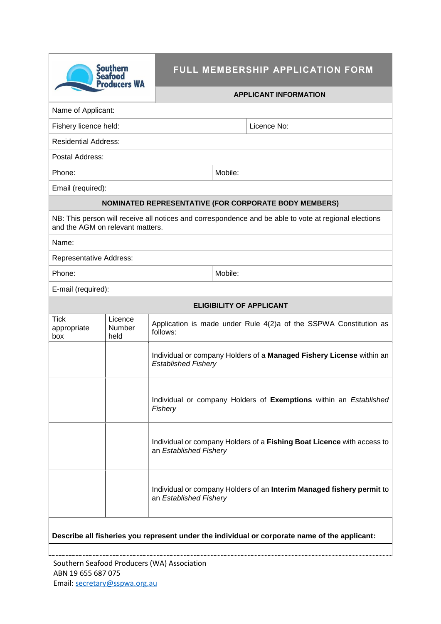| <b>Southern</b><br><b>Seafood</b><br><b>Producers WA</b>                                                                                  |                           | FULL MEMBERSHIP APPLICATION FORM                                                                   |         |             |  |  |  |  |
|-------------------------------------------------------------------------------------------------------------------------------------------|---------------------------|----------------------------------------------------------------------------------------------------|---------|-------------|--|--|--|--|
|                                                                                                                                           |                           | <b>APPLICANT INFORMATION</b>                                                                       |         |             |  |  |  |  |
| Name of Applicant:                                                                                                                        |                           |                                                                                                    |         |             |  |  |  |  |
| Fishery licence held:                                                                                                                     |                           |                                                                                                    |         | Licence No: |  |  |  |  |
| <b>Residential Address:</b>                                                                                                               |                           |                                                                                                    |         |             |  |  |  |  |
| Postal Address:                                                                                                                           |                           |                                                                                                    |         |             |  |  |  |  |
| Phone:                                                                                                                                    |                           |                                                                                                    | Mobile: |             |  |  |  |  |
| Email (required):                                                                                                                         |                           |                                                                                                    |         |             |  |  |  |  |
| NOMINATED REPRESENTATIVE (FOR CORPORATE BODY MEMBERS)                                                                                     |                           |                                                                                                    |         |             |  |  |  |  |
| NB: This person will receive all notices and correspondence and be able to vote at regional elections<br>and the AGM on relevant matters. |                           |                                                                                                    |         |             |  |  |  |  |
| Name:                                                                                                                                     |                           |                                                                                                    |         |             |  |  |  |  |
| <b>Representative Address:</b>                                                                                                            |                           |                                                                                                    |         |             |  |  |  |  |
| Phone:                                                                                                                                    |                           |                                                                                                    | Mobile: |             |  |  |  |  |
| E-mail (required):                                                                                                                        |                           |                                                                                                    |         |             |  |  |  |  |
| <b>ELIGIBILITY OF APPLICANT</b>                                                                                                           |                           |                                                                                                    |         |             |  |  |  |  |
| <b>Tick</b><br>appropriate<br>box                                                                                                         | Licence<br>Number<br>held | Application is made under Rule 4(2)a of the SSPWA Constitution as<br>follows:                      |         |             |  |  |  |  |
|                                                                                                                                           |                           | Individual or company Holders of a Managed Fishery License within an<br><b>Established Fishery</b> |         |             |  |  |  |  |
|                                                                                                                                           |                           | Individual or company Holders of Exemptions within an Established<br>Fishery                       |         |             |  |  |  |  |
|                                                                                                                                           |                           | Individual or company Holders of a Fishing Boat Licence with access to<br>an Established Fishery   |         |             |  |  |  |  |
|                                                                                                                                           |                           | Individual or company Holders of an Interim Managed fishery permit to<br>an Established Fishery    |         |             |  |  |  |  |
| Describe all fisheries you represent under the individual or corporate name of the applicant:                                             |                           |                                                                                                    |         |             |  |  |  |  |

Southern Seafood Producers (WA) Association ABN 19 655 687 075 Email: [secretary@sspwa.org.au](mailto:secretary@sspwa.org.au)